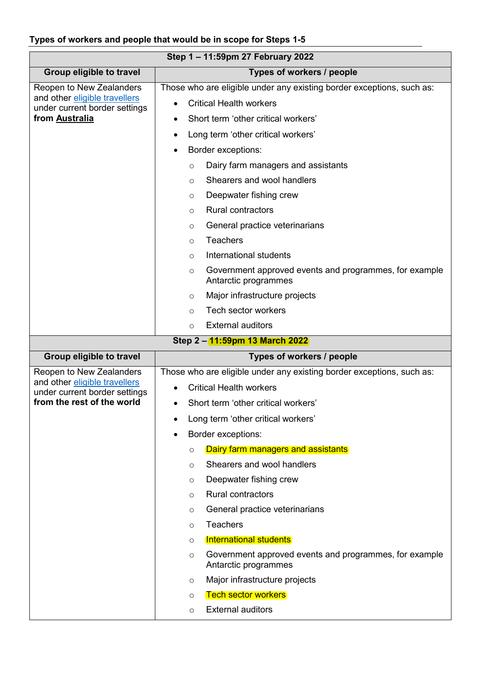## **Types of workers and people that would be in scope for Steps 1-5**

| Step 1 - 11:59pm 27 February 2022                                                                                        |                                                                                                                                                                                                                                                                                                                                                                                                                                                                   |
|--------------------------------------------------------------------------------------------------------------------------|-------------------------------------------------------------------------------------------------------------------------------------------------------------------------------------------------------------------------------------------------------------------------------------------------------------------------------------------------------------------------------------------------------------------------------------------------------------------|
| <b>Group eligible to travel</b>                                                                                          | Types of workers / people                                                                                                                                                                                                                                                                                                                                                                                                                                         |
| Reopen to New Zealanders<br>and other eligible travellers<br>under current border settings<br>from Australia             | Those who are eligible under any existing border exceptions, such as:<br><b>Critical Health workers</b><br>Short term 'other critical workers'<br>Long term 'other critical workers'<br>٠<br>Border exceptions:<br>Dairy farm managers and assistants<br>O<br>Shearers and wool handlers<br>O<br>Deepwater fishing crew<br>O<br><b>Rural contractors</b><br>$\circ$<br>General practice veterinarians<br>O<br><b>Teachers</b><br>$\circ$                          |
|                                                                                                                          | International students<br>$\circ$<br>Government approved events and programmes, for example<br>$\circ$<br>Antarctic programmes<br>Major infrastructure projects<br>O<br>Tech sector workers<br>$\circ$<br><b>External auditors</b><br>$\circ$<br>Step 2 - 11:59pm 13 March 2022                                                                                                                                                                                   |
| <b>Group eligible to travel</b>                                                                                          | Types of workers / people                                                                                                                                                                                                                                                                                                                                                                                                                                         |
| Reopen to New Zealanders<br>and other eligible travellers<br>under current border settings<br>from the rest of the world | Those who are eligible under any existing border exceptions, such as:<br><b>Critical Health workers</b><br>Short term 'other critical workers'<br>Long term 'other critical workers'<br>Border exceptions:                                                                                                                                                                                                                                                        |
|                                                                                                                          | Dairy farm managers and assistants<br>$\circ$<br>Shearers and wool handlers<br>$\circ$<br>Deepwater fishing crew<br>O<br><b>Rural contractors</b><br>$\circ$<br>General practice veterinarians<br>O<br><b>Teachers</b><br>O<br>International students<br>O<br>Government approved events and programmes, for example<br>O<br>Antarctic programmes<br>Major infrastructure projects<br>O<br><b>Tech sector workers</b><br>O<br><b>External auditors</b><br>$\circ$ |